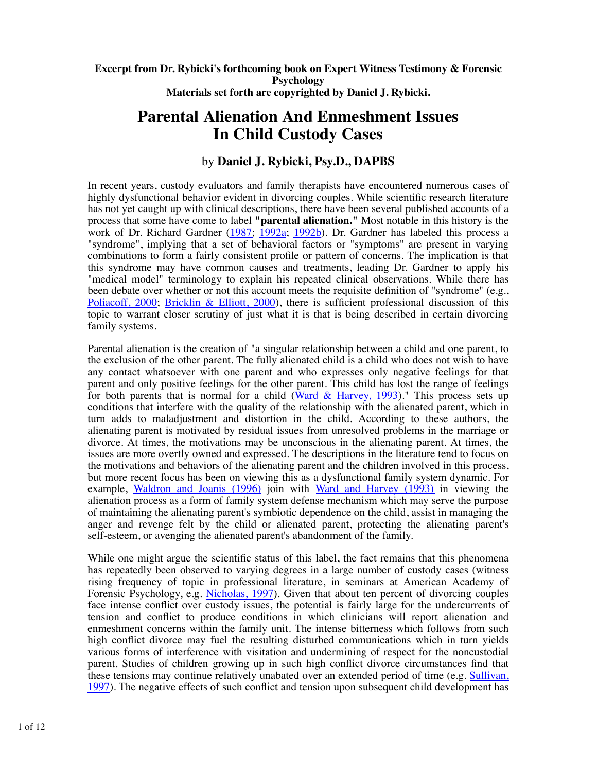#### **Excerpt from Dr. Rybicki's forthcoming book on Expert Witness Testimony & Forensic Psychology Materials set forth are copyrighted by Daniel J. Rybicki.**

# **Parental Alienation And Enmeshment Issues In Child Custody Cases**

# by **Daniel J. Rybicki, Psy.D., DAPBS**

In recent years, custody evaluators and family therapists have encountered numerous cases of highly dysfunctional behavior evident in divorcing couples. While scientific research literature has not yet caught up with clinical descriptions, there have been several published accounts of a process that some have come to label **"parental alienation."** Most notable in this history is the work of Dr. Richard Gardner (1987; 1992a; 1992b). Dr. Gardner has labeled this process a "syndrome", implying that a set of behavioral factors or "symptoms" are present in varying combinations to form a fairly consistent profile or pattern of concerns. The implication is that this syndrome may have common causes and treatments, leading Dr. Gardner to apply his "medical model" terminology to explain his repeated clinical observations. While there has been debate over whether or not this account meets the requisite definition of "syndrome" (e.g., Poliacoff, 2000; Bricklin & Elliott, 2000), there is sufficient professional discussion of this topic to warrant closer scrutiny of just what it is that is being described in certain divorcing family systems.

Parental alienation is the creation of "a singular relationship between a child and one parent, to the exclusion of the other parent. The fully alienated child is a child who does not wish to have any contact whatsoever with one parent and who expresses only negative feelings for that parent and only positive feelings for the other parent. This child has lost the range of feelings for both parents that is normal for a child  $(Ward & Harvey, 1993)$ ." This process sets up conditions that interfere with the quality of the relationship with the alienated parent, which in turn adds to maladjustment and distortion in the child. According to these authors, the alienating parent is motivated by residual issues from unresolved problems in the marriage or divorce. At times, the motivations may be unconscious in the alienating parent. At times, the issues are more overtly owned and expressed. The descriptions in the literature tend to focus on the motivations and behaviors of the alienating parent and the children involved in this process, but more recent focus has been on viewing this as a dysfunctional family system dynamic. For example, Waldron and Joanis (1996) join with Ward and Harvey (1993) in viewing the alienation process as a form of family system defense mechanism which may serve the purpose of maintaining the alienating parent's symbiotic dependence on the child, assist in managing the anger and revenge felt by the child or alienated parent, protecting the alienating parent's self-esteem, or avenging the alienated parent's abandonment of the family.

While one might argue the scientific status of this label, the fact remains that this phenomena has repeatedly been observed to varying degrees in a large number of custody cases (witness rising frequency of topic in professional literature, in seminars at American Academy of Forensic Psychology, e.g. Nicholas, 1997). Given that about ten percent of divorcing couples face intense conflict over custody issues, the potential is fairly large for the undercurrents of tension and conflict to produce conditions in which clinicians will report alienation and enmeshment concerns within the family unit. The intense bitterness which follows from such high conflict divorce may fuel the resulting disturbed communications which in turn yields various forms of interference with visitation and undermining of respect for the noncustodial parent. Studies of children growing up in such high conflict divorce circumstances find that these tensions may continue relatively unabated over an extended period of time (e.g. Sullivan, 1997). The negative effects of such conflict and tension upon subsequent child development has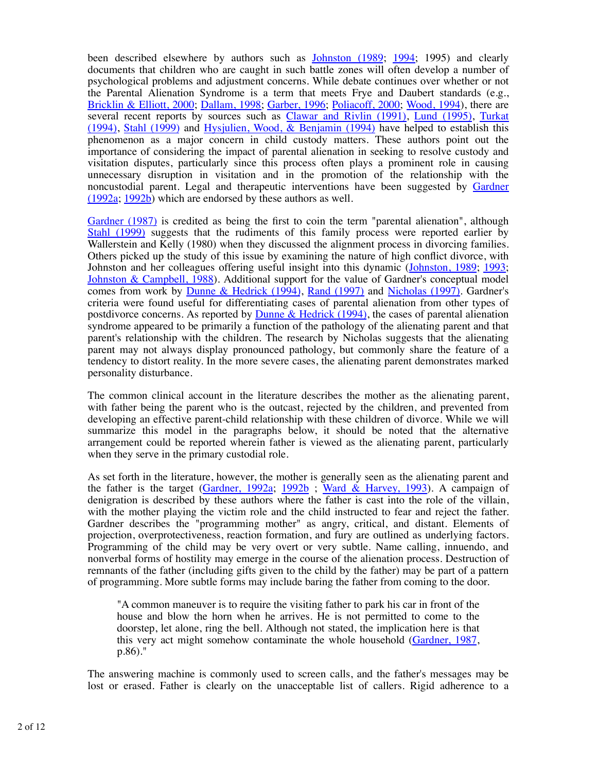been described elsewhere by authors such as Johnston (1989; 1994; 1995) and clearly documents that children who are caught in such battle zones will often develop a number of psychological problems and adjustment concerns. While debate continues over whether or not the Parental Alienation Syndrome is a term that meets Frye and Daubert standards (e.g., Bricklin & Elliott, 2000; Dallam, 1998; Garber, 1996; Poliacoff, 2000; Wood, 1994), there are several recent reports by sources such as Clawar and Rivlin (1991), Lund (1995), Turkat (1994), Stahl (1999) and Hysjulien, Wood,  $\&$  Benjamin (1994) have helped to establish this phenomenon as a major concern in child custody matters. These authors point out the importance of considering the impact of parental alienation in seeking to resolve custody and visitation disputes, particularly since this process often plays a prominent role in causing unnecessary disruption in visitation and in the promotion of the relationship with the noncustodial parent. Legal and therapeutic interventions have been suggested by Gardner (1992a; 1992b) which are endorsed by these authors as well.

Gardner (1987) is credited as being the first to coin the term "parental alienation", although Stahl (1999) suggests that the rudiments of this family process were reported earlier by Wallerstein and Kelly (1980) when they discussed the alignment process in divorcing families. Others picked up the study of this issue by examining the nature of high conflict divorce, with Johnston and her colleagues offering useful insight into this dynamic (Johnston, 1989; 1993; Johnston & Campbell, 1988). Additional support for the value of Gardner's conceptual model comes from work by Dunne & Hedrick (1994), Rand (1997) and Nicholas (1997). Gardner's criteria were found useful for differentiating cases of parental alienation from other types of postdivorce concerns. As reported by **Dunne & Hedrick** (1994), the cases of parental alienation syndrome appeared to be primarily a function of the pathology of the alienating parent and that parent's relationship with the children. The research by Nicholas suggests that the alienating parent may not always display pronounced pathology, but commonly share the feature of a tendency to distort reality. In the more severe cases, the alienating parent demonstrates marked personality disturbance.

The common clinical account in the literature describes the mother as the alienating parent, with father being the parent who is the outcast, rejected by the children, and prevented from developing an effective parent-child relationship with these children of divorce. While we will summarize this model in the paragraphs below, it should be noted that the alternative arrangement could be reported wherein father is viewed as the alienating parent, particularly when they serve in the primary custodial role.

As set forth in the literature, however, the mother is generally seen as the alienating parent and the father is the target (Gardner, 1992a; 1992b ; Ward & Harvey, 1993). A campaign of denigration is described by these authors where the father is cast into the role of the villain, with the mother playing the victim role and the child instructed to fear and reject the father. Gardner describes the "programming mother" as angry, critical, and distant. Elements of projection, overprotectiveness, reaction formation, and fury are outlined as underlying factors. Programming of the child may be very overt or very subtle. Name calling, innuendo, and nonverbal forms of hostility may emerge in the course of the alienation process. Destruction of remnants of the father (including gifts given to the child by the father) may be part of a pattern of programming. More subtle forms may include baring the father from coming to the door.

"A common maneuver is to require the visiting father to park his car in front of the house and blow the horn when he arrives. He is not permitted to come to the doorstep, let alone, ring the bell. Although not stated, the implication here is that this very act might somehow contaminate the whole household (Gardner, 1987, p.86)."

The answering machine is commonly used to screen calls, and the father's messages may be lost or erased. Father is clearly on the unacceptable list of callers. Rigid adherence to a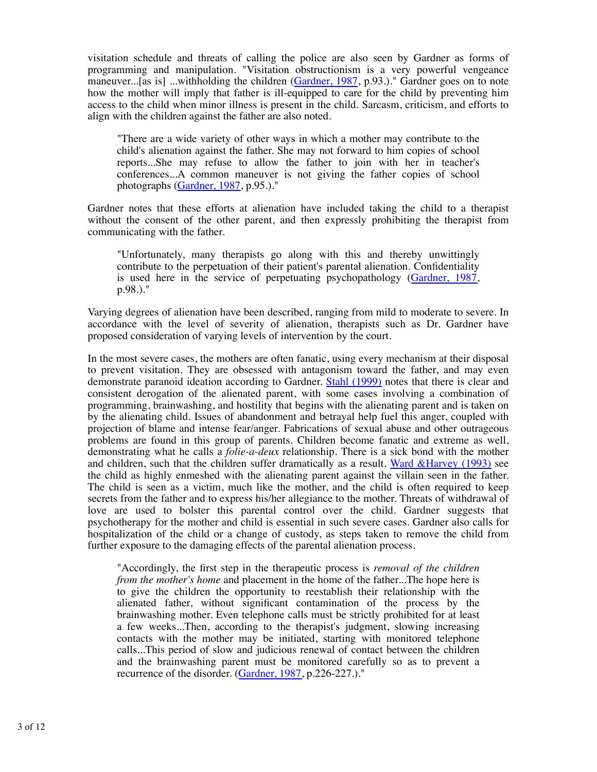visitation schedule and threats of calling the police are also seen by Gardner as forms of programming and manipulation. "Visitation obstructionism is a very powerful vengeance maneuver...[as is] ...withholding the children (Gardner, 1987, p.93.)." Gardner goes on to note how the mother will imply that father is ill-equipped to care for the child by preventing him access to the child when minor illness is present in the child. Sarcasm, criticism, and efforts to align with the children against the father are also noted.

"There are a wide variety of other ways in which a mother may contribute to the child's alienation against the father. She may not forward to him copies of school reports...She may refuse to allow the father to join with her in teacher's conferences...A common maneuver is not giving the father copies of school photographs (Gardner, 1987, p.95.)."

Gardner notes that these efforts at alienation have included taking the child to a therapist without the consent of the other parent, and then expressly prohibiting the therapist from communicating with the father.

"Unfortunately, many therapists go along with this and thereby unwittingly contribute to the perpetuation of their patient's parental alienation. Confidentiality is used here in the service of perpetuating psychopathology (Gardner, 1987, p.98.)."

Varying degrees of alienation have been described, ranging from mild to moderate to severe. In accordance with the level of severity of alienation, therapists such as Dr. Gardner have proposed consideration of varying levels of intervention by the court.

In the most severe cases, the mothers are often fanatic, using every mechanism at their disposal to prevent visitation. They are obsessed with antagonism toward the father, and may even demonstrate paranoid ideation according to Gardner. Stahl (1999) notes that there is clear and consistent derogation of the alienated parent, with some cases involving a combination of programming, brainwashing, and hostility that begins with the alienating parent and is taken on by the alienating child. Issues of abandonment and betrayal help fuel this anger, coupled with projection of blame and intense fear/anger. Fabrications of sexual abuse and other outrageous problems are found in this group of parents. Children become fanatic and extreme as well, demonstrating what he calls a *folie-a-deux* relationship. There is a sick bond with the mother and children, such that the children suffer dramatically as a result. Ward &Harvey (1993) see the child as highly enmeshed with the alienating parent against the villain seen in the father. The child is seen as a victim, much like the mother, and the child is often required to keep secrets from the father and to express his/her allegiance to the mother. Threats of withdrawal of love are used to bolster this parental control over the child. Gardner suggests that psychotherapy for the mother and child is essential in such severe cases. Gardner also calls for hospitalization of the child or a change of custody, as steps taken to remove the child from further exposure to the damaging effects of the parental alienation process.

"Accordingly, the first step in the therapeutic process is *removal of the children from the mother's home* and placement in the home of the father...The hope here is to give the children the opportunity to reestablish their relationship with the alienated father, without significant contamination of the process by the brainwashing mother. Even telephone calls must be strictly prohibited for at least a few weeks...Then, according to the therapist's judgment, slowing increasing contacts with the mother may be initiated, starting with monitored telephone calls...This period of slow and judicious renewal of contact between the children and the brainwashing parent must be monitored carefully so as to prevent a recurrence of the disorder. (Gardner, 1987, p.226-227.)."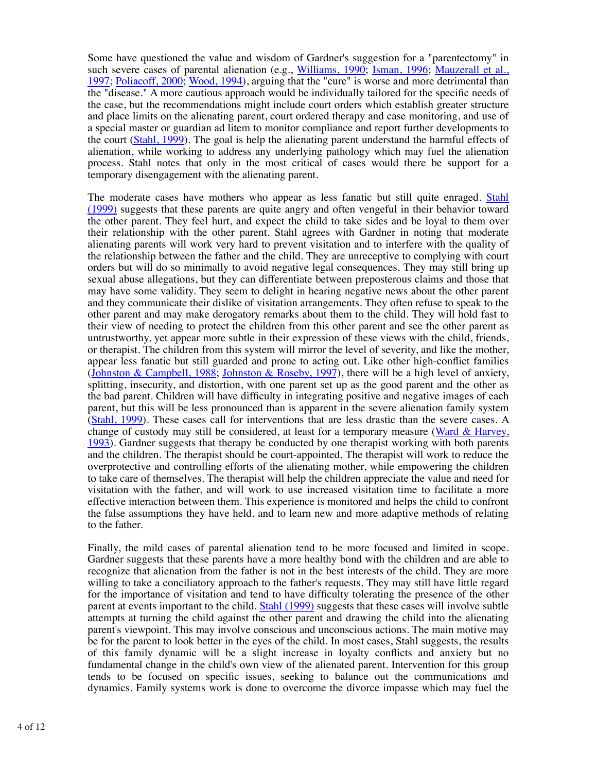Some have questioned the value and wisdom of Gardner's suggestion for a "parentectomy" in such severe cases of parental alienation (e.g., Williams, 1990; Isman, 1996; Mauzerall et al., 1997; Poliacoff, 2000; Wood, 1994), arguing that the "cure" is worse and more detrimental than the "disease." A more cautious approach would be individually tailored for the specific needs of the case, but the recommendations might include court orders which establish greater structure and place limits on the alienating parent, court ordered therapy and case monitoring, and use of a special master or guardian ad litem to monitor compliance and report further developments to the court (Stahl, 1999). The goal is help the alienating parent understand the harmful effects of alienation, while working to address any underlying pathology which may fuel the alienation process. Stahl notes that only in the most critical of cases would there be support for a temporary disengagement with the alienating parent.

The moderate cases have mothers who appear as less fanatic but still quite enraged. Stahl (1999) suggests that these parents are quite angry and often vengeful in their behavior toward the other parent. They feel hurt, and expect the child to take sides and be loyal to them over their relationship with the other parent. Stahl agrees with Gardner in noting that moderate alienating parents will work very hard to prevent visitation and to interfere with the quality of the relationship between the father and the child. They are unreceptive to complying with court orders but will do so minimally to avoid negative legal consequences. They may still bring up sexual abuse allegations, but they can differentiate between preposterous claims and those that may have some validity. They seem to delight in hearing negative news about the other parent and they communicate their dislike of visitation arrangements. They often refuse to speak to the other parent and may make derogatory remarks about them to the child. They will hold fast to their view of needing to protect the children from this other parent and see the other parent as untrustworthy, yet appear more subtle in their expression of these views with the child, friends, or therapist. The children from this system will mirror the level of severity, and like the mother, appear less fanatic but still guarded and prone to acting out. Like other high-conflict families (Johnston & Campbell, 1988; Johnston & Roseby, 1997), there will be a high level of anxiety, splitting, insecurity, and distortion, with one parent set up as the good parent and the other as the bad parent. Children will have difficulty in integrating positive and negative images of each parent, but this will be less pronounced than is apparent in the severe alienation family system (Stahl, 1999). These cases call for interventions that are less drastic than the severe cases. A change of custody may still be considered, at least for a temporary measure (Ward & Harvey, 1993). Gardner suggests that therapy be conducted by one therapist working with both parents and the children. The therapist should be court-appointed. The therapist will work to reduce the overprotective and controlling efforts of the alienating mother, while empowering the children to take care of themselves. The therapist will help the children appreciate the value and need for visitation with the father, and will work to use increased visitation time to facilitate a more effective interaction between them. This experience is monitored and helps the child to confront the false assumptions they have held, and to learn new and more adaptive methods of relating to the father.

Finally, the mild cases of parental alienation tend to be more focused and limited in scope. Gardner suggests that these parents have a more healthy bond with the children and are able to recognize that alienation from the father is not in the best interests of the child. They are more willing to take a conciliatory approach to the father's requests. They may still have little regard for the importance of visitation and tend to have difficulty tolerating the presence of the other parent at events important to the child. Stahl (1999) suggests that these cases will involve subtle attempts at turning the child against the other parent and drawing the child into the alienating parent's viewpoint. This may involve conscious and unconscious actions. The main motive may be for the parent to look better in the eyes of the child. In most cases, Stahl suggests, the results of this family dynamic will be a slight increase in loyalty conflicts and anxiety but no fundamental change in the child's own view of the alienated parent. Intervention for this group tends to be focused on specific issues, seeking to balance out the communications and dynamics. Family systems work is done to overcome the divorce impasse which may fuel the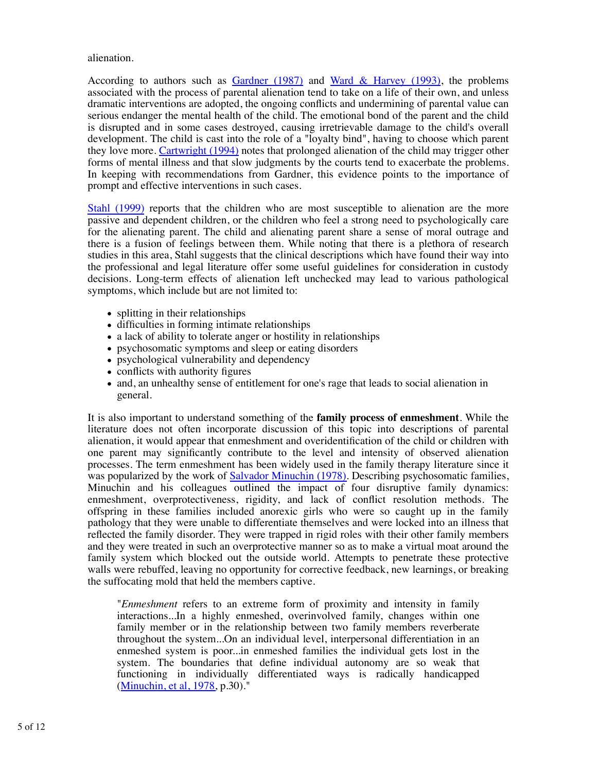alienation.

According to authors such as  $Gardner$  (1987) and Ward & Harvey (1993), the problems associated with the process of parental alienation tend to take on a life of their own, and unless dramatic interventions are adopted, the ongoing conflicts and undermining of parental value can serious endanger the mental health of the child. The emotional bond of the parent and the child is disrupted and in some cases destroyed, causing irretrievable damage to the child's overall development. The child is cast into the role of a "loyalty bind", having to choose which parent they love more. Cartwright (1994) notes that prolonged alienation of the child may trigger other forms of mental illness and that slow judgments by the courts tend to exacerbate the problems. In keeping with recommendations from Gardner, this evidence points to the importance of prompt and effective interventions in such cases.

Stahl (1999) reports that the children who are most susceptible to alienation are the more passive and dependent children, or the children who feel a strong need to psychologically care for the alienating parent. The child and alienating parent share a sense of moral outrage and there is a fusion of feelings between them. While noting that there is a plethora of research studies in this area, Stahl suggests that the clinical descriptions which have found their way into the professional and legal literature offer some useful guidelines for consideration in custody decisions. Long-term effects of alienation left unchecked may lead to various pathological symptoms, which include but are not limited to:

- splitting in their relationships
- difficulties in forming intimate relationships
- a lack of ability to tolerate anger or hostility in relationships
- psychosomatic symptoms and sleep or eating disorders
- psychological vulnerability and dependency
- conflicts with authority figures
- and, an unhealthy sense of entitlement for one's rage that leads to social alienation in general.

It is also important to understand something of the **family process of enmeshment**. While the literature does not often incorporate discussion of this topic into descriptions of parental alienation, it would appear that enmeshment and overidentification of the child or children with one parent may significantly contribute to the level and intensity of observed alienation processes. The term enmeshment has been widely used in the family therapy literature since it was popularized by the work of Salvador Minuchin (1978). Describing psychosomatic families, Minuchin and his colleagues outlined the impact of four disruptive family dynamics: enmeshment, overprotectiveness, rigidity, and lack of conflict resolution methods. The offspring in these families included anorexic girls who were so caught up in the family pathology that they were unable to differentiate themselves and were locked into an illness that reflected the family disorder. They were trapped in rigid roles with their other family members and they were treated in such an overprotective manner so as to make a virtual moat around the family system which blocked out the outside world. Attempts to penetrate these protective walls were rebuffed, leaving no opportunity for corrective feedback, new learnings, or breaking the suffocating mold that held the members captive.

"*Enmeshment* refers to an extreme form of proximity and intensity in family interactions...In a highly enmeshed, overinvolved family, changes within one family member or in the relationship between two family members reverberate throughout the system...On an individual level, interpersonal differentiation in an enmeshed system is poor...in enmeshed families the individual gets lost in the system. The boundaries that define individual autonomy are so weak that functioning in individually differentiated ways is radically handicapped (Minuchin, et al, 1978, p.30)."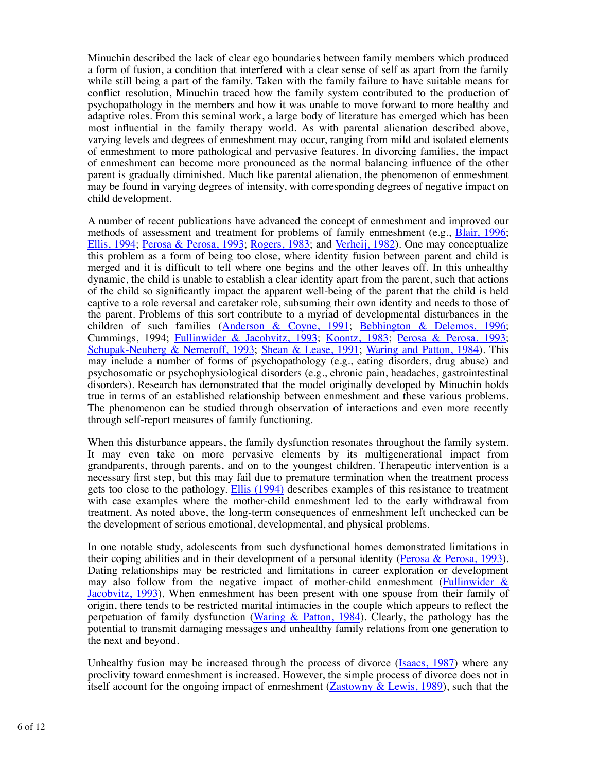Minuchin described the lack of clear ego boundaries between family members which produced a form of fusion, a condition that interfered with a clear sense of self as apart from the family while still being a part of the family. Taken with the family failure to have suitable means for conflict resolution, Minuchin traced how the family system contributed to the production of psychopathology in the members and how it was unable to move forward to more healthy and adaptive roles. From this seminal work, a large body of literature has emerged which has been most influential in the family therapy world. As with parental alienation described above, varying levels and degrees of enmeshment may occur, ranging from mild and isolated elements of enmeshment to more pathological and pervasive features. In divorcing families, the impact of enmeshment can become more pronounced as the normal balancing influence of the other parent is gradually diminished. Much like parental alienation, the phenomenon of enmeshment may be found in varying degrees of intensity, with corresponding degrees of negative impact on child development.

A number of recent publications have advanced the concept of enmeshment and improved our methods of assessment and treatment for problems of family enmeshment (e.g., Blair, 1996; Ellis, 1994; Perosa & Perosa, 1993; Rogers, 1983; and Verheij, 1982). One may conceptualize this problem as a form of being too close, where identity fusion between parent and child is merged and it is difficult to tell where one begins and the other leaves off. In this unhealthy dynamic, the child is unable to establish a clear identity apart from the parent, such that actions of the child so significantly impact the apparent well-being of the parent that the child is held captive to a role reversal and caretaker role, subsuming their own identity and needs to those of the parent. Problems of this sort contribute to a myriad of developmental disturbances in the children of such families (Anderson & Coyne, 1991; Bebbington & Delemos, 1996; Cummings, 1994; Fullinwider & Jacobvitz, 1993; Koontz, 1983; Perosa & Perosa, 1993; Schupak-Neuberg & Nemeroff, 1993; Shean & Lease, 1991; Waring and Patton, 1984). This may include a number of forms of psychopathology (e.g., eating disorders, drug abuse) and psychosomatic or psychophysiological disorders (e.g., chronic pain, headaches, gastrointestinal disorders). Research has demonstrated that the model originally developed by Minuchin holds true in terms of an established relationship between enmeshment and these various problems. The phenomenon can be studied through observation of interactions and even more recently through self-report measures of family functioning.

When this disturbance appears, the family dysfunction resonates throughout the family system. It may even take on more pervasive elements by its multigenerational impact from grandparents, through parents, and on to the youngest children. Therapeutic intervention is a necessary first step, but this may fail due to premature termination when the treatment process gets too close to the pathology. Ellis (1994) describes examples of this resistance to treatment with case examples where the mother-child enmeshment led to the early withdrawal from treatment. As noted above, the long-term consequences of enmeshment left unchecked can be the development of serious emotional, developmental, and physical problems.

In one notable study, adolescents from such dysfunctional homes demonstrated limitations in their coping abilities and in their development of a personal identity (Perosa & Perosa, 1993). Dating relationships may be restricted and limitations in career exploration or development may also follow from the negative impact of mother-child enmeshment (Fullinwider  $\&$ Jacobvitz, 1993). When enmeshment has been present with one spouse from their family of origin, there tends to be restricted marital intimacies in the couple which appears to reflect the perpetuation of family dysfunction (Waring & Patton, 1984). Clearly, the pathology has the potential to transmit damaging messages and unhealthy family relations from one generation to the next and beyond.

Unhealthy fusion may be increased through the process of divorce (Isaacs, 1987) where any proclivity toward enmeshment is increased. However, the simple process of divorce does not in itself account for the ongoing impact of enmeshment (Zastowny & Lewis, 1989), such that the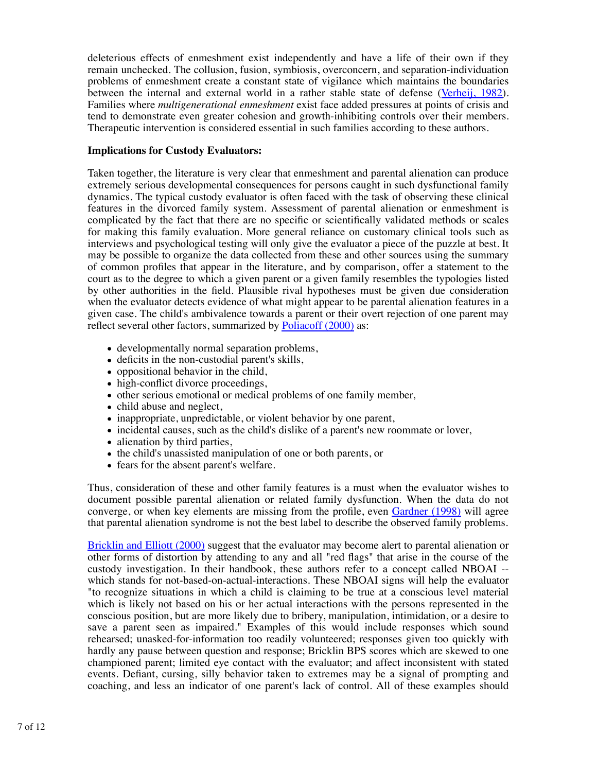deleterious effects of enmeshment exist independently and have a life of their own if they remain unchecked. The collusion, fusion, symbiosis, overconcern, and separation-individuation problems of enmeshment create a constant state of vigilance which maintains the boundaries between the internal and external world in a rather stable state of defense (Verheij, 1982). Families where *multigenerational enmeshment* exist face added pressures at points of crisis and tend to demonstrate even greater cohesion and growth-inhibiting controls over their members. Therapeutic intervention is considered essential in such families according to these authors.

# **Implications for Custody Evaluators:**

Taken together, the literature is very clear that enmeshment and parental alienation can produce extremely serious developmental consequences for persons caught in such dysfunctional family dynamics. The typical custody evaluator is often faced with the task of observing these clinical features in the divorced family system. Assessment of parental alienation or enmeshment is complicated by the fact that there are no specific or scientifically validated methods or scales for making this family evaluation. More general reliance on customary clinical tools such as interviews and psychological testing will only give the evaluator a piece of the puzzle at best. It may be possible to organize the data collected from these and other sources using the summary of common profiles that appear in the literature, and by comparison, offer a statement to the court as to the degree to which a given parent or a given family resembles the typologies listed by other authorities in the field. Plausible rival hypotheses must be given due consideration when the evaluator detects evidence of what might appear to be parental alienation features in a given case. The child's ambivalence towards a parent or their overt rejection of one parent may reflect several other factors, summarized by Poliacoff (2000) as:

- developmentally normal separation problems,
- deficits in the non-custodial parent's skills,
- oppositional behavior in the child,
- high-conflict divorce proceedings,
- other serious emotional or medical problems of one family member,
- child abuse and neglect,
- inappropriate, unpredictable, or violent behavior by one parent,
- incidental causes, such as the child's dislike of a parent's new roommate or lover,
- alienation by third parties,
- the child's unassisted manipulation of one or both parents, or
- fears for the absent parent's welfare.

Thus, consideration of these and other family features is a must when the evaluator wishes to document possible parental alienation or related family dysfunction. When the data do not converge, or when key elements are missing from the profile, even Gardner (1998) will agree that parental alienation syndrome is not the best label to describe the observed family problems.

Bricklin and Elliott (2000) suggest that the evaluator may become alert to parental alienation or other forms of distortion by attending to any and all "red flags" that arise in the course of the custody investigation. In their handbook, these authors refer to a concept called NBOAI - which stands for not-based-on-actual-interactions. These NBOAI signs will help the evaluator "to recognize situations in which a child is claiming to be true at a conscious level material which is likely not based on his or her actual interactions with the persons represented in the conscious position, but are more likely due to bribery, manipulation, intimidation, or a desire to save a parent seen as impaired." Examples of this would include responses which sound rehearsed; unasked-for-information too readily volunteered; responses given too quickly with hardly any pause between question and response; Bricklin BPS scores which are skewed to one championed parent; limited eye contact with the evaluator; and affect inconsistent with stated events. Defiant, cursing, silly behavior taken to extremes may be a signal of prompting and coaching, and less an indicator of one parent's lack of control. All of these examples should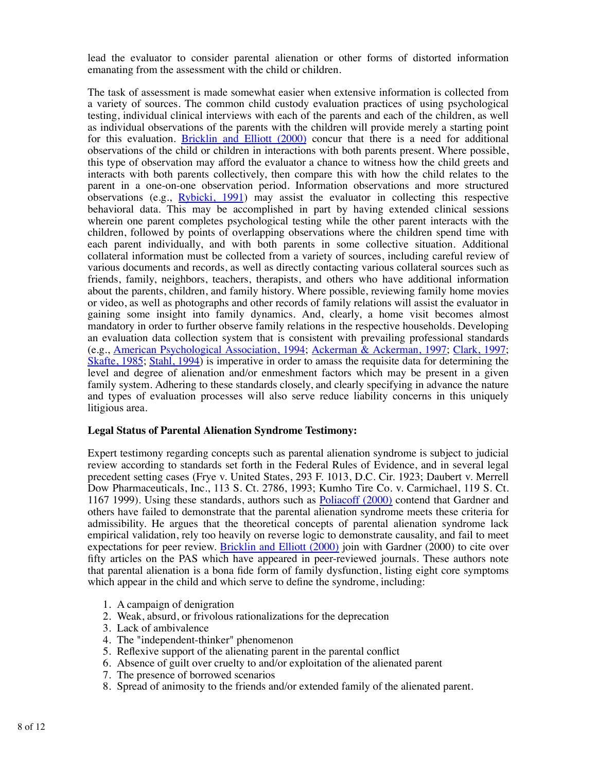lead the evaluator to consider parental alienation or other forms of distorted information emanating from the assessment with the child or children.

The task of assessment is made somewhat easier when extensive information is collected from a variety of sources. The common child custody evaluation practices of using psychological testing, individual clinical interviews with each of the parents and each of the children, as well as individual observations of the parents with the children will provide merely a starting point for this evaluation. **Bricklin and Elliott (2000)** concur that there is a need for additional observations of the child or children in interactions with both parents present. Where possible, this type of observation may afford the evaluator a chance to witness how the child greets and interacts with both parents collectively, then compare this with how the child relates to the parent in a one-on-one observation period. Information observations and more structured observations (e.g., Rybicki, 1991) may assist the evaluator in collecting this respective behavioral data. This may be accomplished in part by having extended clinical sessions wherein one parent completes psychological testing while the other parent interacts with the children, followed by points of overlapping observations where the children spend time with each parent individually, and with both parents in some collective situation. Additional collateral information must be collected from a variety of sources, including careful review of various documents and records, as well as directly contacting various collateral sources such as friends, family, neighbors, teachers, therapists, and others who have additional information about the parents, children, and family history. Where possible, reviewing family home movies or video, as well as photographs and other records of family relations will assist the evaluator in gaining some insight into family dynamics. And, clearly, a home visit becomes almost mandatory in order to further observe family relations in the respective households. Developing an evaluation data collection system that is consistent with prevailing professional standards (e.g., American Psychological Association, 1994; Ackerman & Ackerman, 1997; Clark, 1997; Skafte, 1985; Stahl, 1994) is imperative in order to amass the requisite data for determining the level and degree of alienation and/or enmeshment factors which may be present in a given family system. Adhering to these standards closely, and clearly specifying in advance the nature and types of evaluation processes will also serve reduce liability concerns in this uniquely litigious area.

### **Legal Status of Parental Alienation Syndrome Testimony:**

Expert testimony regarding concepts such as parental alienation syndrome is subject to judicial review according to standards set forth in the Federal Rules of Evidence, and in several legal precedent setting cases (Frye v. United States, 293 F. 1013, D.C. Cir. 1923; Daubert v. Merrell Dow Pharmaceuticals, Inc., 113 S. Ct. 2786, 1993; Kumho Tire Co. v. Carmichael, 119 S. Ct. 1167 1999). Using these standards, authors such as Poliacoff (2000) contend that Gardner and others have failed to demonstrate that the parental alienation syndrome meets these criteria for admissibility. He argues that the theoretical concepts of parental alienation syndrome lack empirical validation, rely too heavily on reverse logic to demonstrate causality, and fail to meet expectations for peer review. Bricklin and Elliott (2000) join with Gardner (2000) to cite over fifty articles on the PAS which have appeared in peer-reviewed journals. These authors note that parental alienation is a bona fide form of family dysfunction, listing eight core symptoms which appear in the child and which serve to define the syndrome, including:

- 1. A campaign of denigration
- 2. Weak, absurd, or frivolous rationalizations for the deprecation
- 3. Lack of ambivalence
- 4. The "independent-thinker" phenomenon
- 5. Reflexive support of the alienating parent in the parental conflict
- 6. Absence of guilt over cruelty to and/or exploitation of the alienated parent
- 7. The presence of borrowed scenarios
- 8. Spread of animosity to the friends and/or extended family of the alienated parent.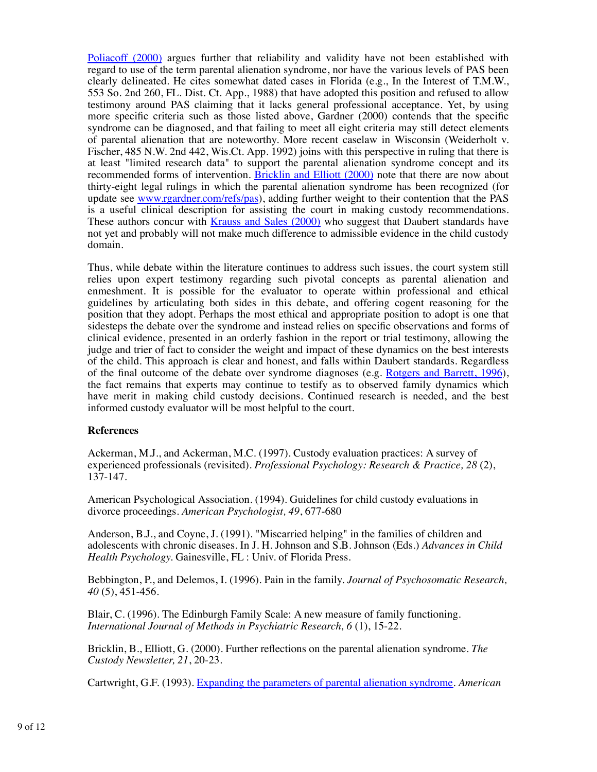Poliacoff (2000) argues further that reliability and validity have not been established with regard to use of the term parental alienation syndrome, nor have the various levels of PAS been clearly delineated. He cites somewhat dated cases in Florida (e.g., In the Interest of T.M.W., 553 So. 2nd 260, FL. Dist. Ct. App., 1988) that have adopted this position and refused to allow testimony around PAS claiming that it lacks general professional acceptance. Yet, by using more specific criteria such as those listed above, Gardner (2000) contends that the specific syndrome can be diagnosed, and that failing to meet all eight criteria may still detect elements of parental alienation that are noteworthy. More recent caselaw in Wisconsin (Weiderholt v. Fischer, 485 N.W. 2nd 442, Wis.Ct. App. 1992) joins with this perspective in ruling that there is at least "limited research data" to support the parental alienation syndrome concept and its recommended forms of intervention. Bricklin and Elliott (2000) note that there are now about thirty-eight legal rulings in which the parental alienation syndrome has been recognized (for update see www.rgardner.com/refs/pas), adding further weight to their contention that the PAS is a useful clinical description for assisting the court in making custody recommendations. These authors concur with Krauss and Sales (2000) who suggest that Daubert standards have not yet and probably will not make much difference to admissible evidence in the child custody domain.

Thus, while debate within the literature continues to address such issues, the court system still relies upon expert testimony regarding such pivotal concepts as parental alienation and enmeshment. It is possible for the evaluator to operate within professional and ethical guidelines by articulating both sides in this debate, and offering cogent reasoning for the position that they adopt. Perhaps the most ethical and appropriate position to adopt is one that sidesteps the debate over the syndrome and instead relies on specific observations and forms of clinical evidence, presented in an orderly fashion in the report or trial testimony, allowing the judge and trier of fact to consider the weight and impact of these dynamics on the best interests of the child. This approach is clear and honest, and falls within Daubert standards. Regardless of the final outcome of the debate over syndrome diagnoses (e.g. Rotgers and Barrett, 1996), the fact remains that experts may continue to testify as to observed family dynamics which have merit in making child custody decisions. Continued research is needed, and the best informed custody evaluator will be most helpful to the court.

### **References**

Ackerman, M.J., and Ackerman, M.C. (1997). Custody evaluation practices: A survey of experienced professionals (revisited). *Professional Psychology: Research & Practice, 28* (2), 137-147.

American Psychological Association. (1994). Guidelines for child custody evaluations in divorce proceedings. *American Psychologist, 49*, 677-680

Anderson, B.J., and Coyne, J. (1991). "Miscarried helping" in the families of children and adolescents with chronic diseases. In J. H. Johnson and S.B. Johnson (Eds.) *Advances in Child Health Psychology.* Gainesville, FL : Univ. of Florida Press.

Bebbington, P., and Delemos, I. (1996). Pain in the family. *Journal of Psychosomatic Research, 40* (5), 451-456.

Blair, C. (1996). The Edinburgh Family Scale: A new measure of family functioning. *International Journal of Methods in Psychiatric Research, 6* (1), 15-22.

Bricklin, B., Elliott, G. (2000). Further reflections on the parental alienation syndrome. *The Custody Newsletter, 21*, 20-23.

Cartwright, G.F. (1993). Expanding the parameters of parental alienation syndrome. *American*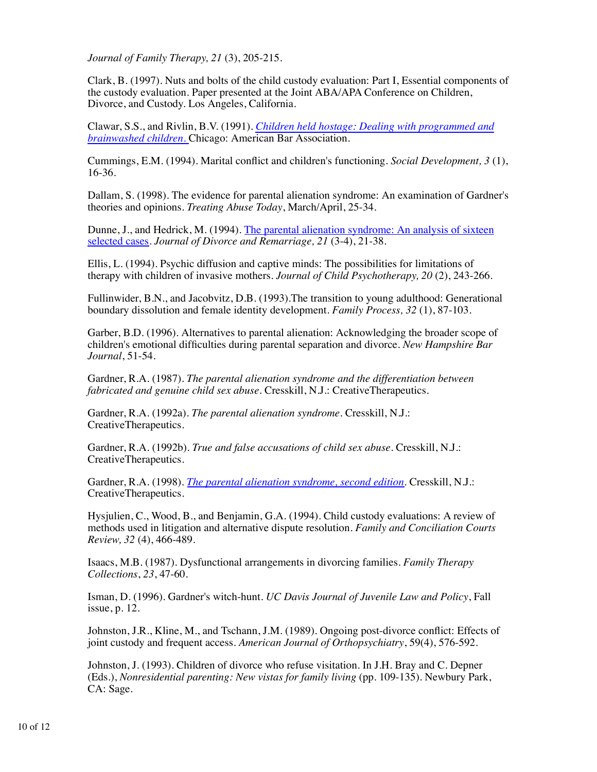*Journal of Family Therapy, 21* (3), 205-215.

Clark, B. (1997). Nuts and bolts of the child custody evaluation: Part I, Essential components of the custody evaluation. Paper presented at the Joint ABA/APA Conference on Children, Divorce, and Custody. Los Angeles, California.

Clawar, S.S., and Rivlin, B.V. (1991). *Children held hostage: Dealing with programmed and brainwashed children.* Chicago: American Bar Association.

Cummings, E.M. (1994). Marital conflict and children's functioning. *Social Development, 3* (1), 16-36.

Dallam, S. (1998). The evidence for parental alienation syndrome: An examination of Gardner's theories and opinions. *Treating Abuse Today*, March/April, 25-34.

Dunne, J., and Hedrick, M. (1994). The parental alienation syndrome: An analysis of sixteen selected cases. *Journal of Divorce and Remarriage, 21* (3-4), 21-38.

Ellis, L. (1994). Psychic diffusion and captive minds: The possibilities for limitations of therapy with children of invasive mothers. *Journal of Child Psychotherapy, 20* (2), 243-266.

Fullinwider, B.N., and Jacobvitz, D.B. (1993).The transition to young adulthood: Generational boundary dissolution and female identity development. *Family Process, 32* (1), 87-103.

Garber, B.D. (1996). Alternatives to parental alienation: Acknowledging the broader scope of children's emotional difficulties during parental separation and divorce. *New Hampshire Bar Journal*, 51-54.

Gardner, R.A. (1987). *The parental alienation syndrome and the differentiation between fabricated and genuine child sex abuse.* Cresskill, N.J.: CreativeTherapeutics.

Gardner, R.A. (1992a). *The parental alienation syndrome.* Cresskill, N.J.: CreativeTherapeutics.

Gardner, R.A. (1992b). *True and false accusations of child sex abuse.* Cresskill, N.J.: CreativeTherapeutics.

Gardner, R.A. (1998). *The parental alienation syndrome, second edition*. Cresskill, N.J.: CreativeTherapeutics.

Hysjulien, C., Wood, B., and Benjamin, G.A. (1994). Child custody evaluations: A review of methods used in litigation and alternative dispute resolution. *Family and Conciliation Courts Review, 32* (4), 466-489.

Isaacs, M.B. (1987). Dysfunctional arrangements in divorcing families. *Family Therapy Collections*, *23*, 47-60.

Isman, D. (1996). Gardner's witch-hunt. *UC Davis Journal of Juvenile Law and Policy*, Fall issue, p. 12.

Johnston, J.R., Kline, M., and Tschann, J.M. (1989). Ongoing post-divorce conflict: Effects of joint custody and frequent access. *American Journal of Orthopsychiatry*, 59(4), 576-592.

Johnston, J. (1993). Children of divorce who refuse visitation. In J.H. Bray and C. Depner (Eds.), *Nonresidential parenting: New vistas for family living* (pp. 109-135). Newbury Park, CA: Sage.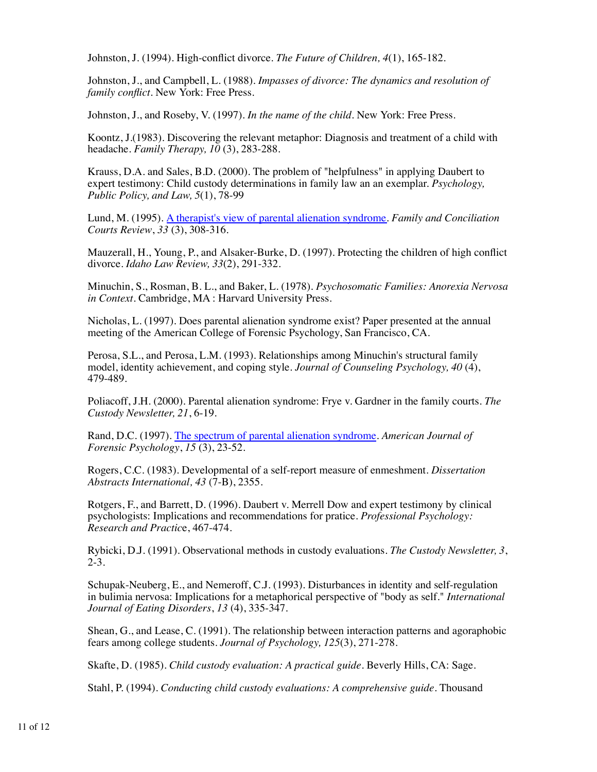Johnston, J. (1994). High-conflict divorce. *The Future of Children, 4*(1), 165-182.

Johnston, J., and Campbell, L. (1988). *Impasses of divorce: The dynamics and resolution of family conflict*. New York: Free Press.

Johnston, J., and Roseby, V. (1997). *In the name of the child*. New York: Free Press.

Koontz, J.(1983). Discovering the relevant metaphor: Diagnosis and treatment of a child with headache. *Family Therapy, 10* (3), 283-288.

Krauss, D.A. and Sales, B.D. (2000). The problem of "helpfulness" in applying Daubert to expert testimony: Child custody determinations in family law an an exemplar. *Psychology, Public Policy, and Law, 5*(1), 78-99

Lund, M. (1995). A therapist's view of parental alienation syndrome. *Family and Conciliation Courts Review*, *33* (3), 308-316.

Mauzerall, H., Young, P., and Alsaker-Burke, D. (1997). Protecting the children of high conflict divorce. *Idaho Law Review, 33*(2), 291-332.

Minuchin, S., Rosman, B. L., and Baker, L. (1978). *Psychosomatic Families: Anorexia Nervosa in Context.* Cambridge, MA : Harvard University Press.

Nicholas, L. (1997). Does parental alienation syndrome exist? Paper presented at the annual meeting of the American College of Forensic Psychology, San Francisco, CA.

Perosa, S.L., and Perosa, L.M. (1993). Relationships among Minuchin's structural family model, identity achievement, and coping style. *Journal of Counseling Psychology, 40* (4), 479-489.

Poliacoff, J.H. (2000). Parental alienation syndrome: Frye v. Gardner in the family courts. *The Custody Newsletter, 21*, 6-19.

Rand, D.C. (1997). The spectrum of parental alienation syndrome. *American Journal of Forensic Psychology*, *15* (3), 23-52.

Rogers, C.C. (1983). Developmental of a self-report measure of enmeshment. *Dissertation Abstracts International, 43* (7-B), 2355.

Rotgers, F., and Barrett, D. (1996). Daubert v. Merrell Dow and expert testimony by clinical psychologists: Implications and recommendations for pratice. *Professional Psychology: Research and Practic*e, 467-474.

Rybicki, D.J. (1991). Observational methods in custody evaluations. *The Custody Newsletter, 3*,  $2-3.$ 

Schupak-Neuberg, E., and Nemeroff, C.J. (1993). Disturbances in identity and self-regulation in bulimia nervosa: Implications for a metaphorical perspective of "body as self." *International Journal of Eating Disorders*, *13* (4), 335-347.

Shean, G., and Lease, C. (1991). The relationship between interaction patterns and agoraphobic fears among college students. *Journal of Psychology, 125*(3), 271-278.

Skafte, D. (1985). *Child custody evaluation: A practical guide*. Beverly Hills, CA: Sage.

Stahl, P. (1994). *Conducting child custody evaluations: A comprehensive guide*. Thousand